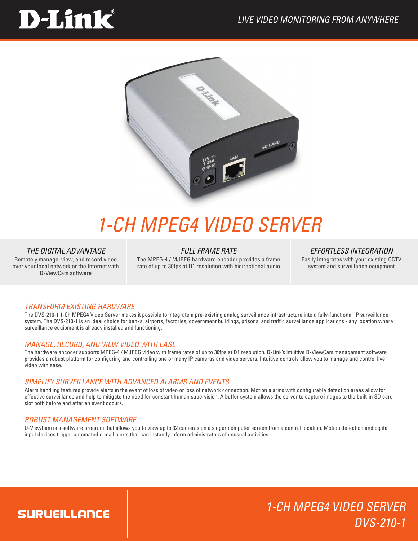# **D-Link**



## *1-Ch MPEG4 Video Server*

#### *THE DIGITAL ADVANTAGE*

Remotely manage, view, and record video over your local network or the Internet with D-ViewCam software

#### *FULL FRAME RATE*

The MPEG-4 / MJPEG hardware encoder provides a frame rate of up to 30fps at D1 resolution with bidirectional audio

#### *EFFORTLESS INTEGRATION*

Easily integrates with your existing CCTV system and surveillance equipment

1-Ch MPEG4 Video Server

DVS-210-1

#### transform existing hardware

The DVS-210-1 1-Ch MPEG4 Video Server makes it possible to integrate a pre-existing analog surveillance infrastructure into a fully-functional IP surveillance system. The DVS-210-1 is an ideal choice for banks, airports, factories, government buildings, prisons, and traffic surveillance applications - any location where surveillance equipment is already installed and functioning.

#### Manage, Record, and view Video with ease

The hardware encoder supports MPEG-4 / MJPEG video with frame rates of up to 30fps at D1 resolution. D-Link's intuitive D-ViewCam management software provides a robust platform for configuring and controlling one or many IP cameras and video servers. Intuitive controls allow you to manage and control live video with ease.

#### Simplify surveillance with advanced Alarms and events

Alarm handling features provide alerts in the event of loss of video or loss of network connection. Motion alarms with configurable detection areas allow for effective surveillance and help to mitigate the need for constant human supervision. A buffer system allows the server to capture images to the built-in SD card slot both before and after an event occurs.

#### Robust Management Software

D-ViewCam is a software program that allows you to view up to 32 cameras on a singer computer screen from a central location. Motion detection and digital input devices trigger automated e-mail alerts that can instantly inform administrators of unusual activities.

### **SURUEILLANCE**